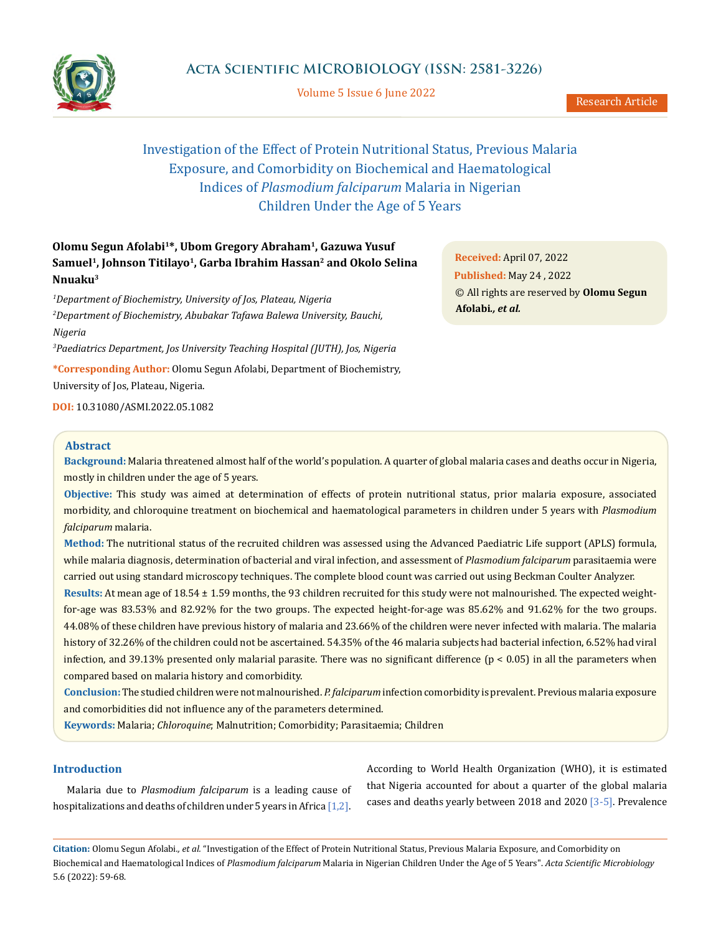

Volume 5 Issue 6 June 2022

# Investigation of the Effect of Protein Nutritional Status, Previous Malaria Exposure, and Comorbidity on Biochemical and Haematological Indices of *Plasmodium falciparum* Malaria in Nigerian Children Under the Age of 5 Years

## **Olomu Segun Afolabi1\*, Ubom Gregory Abraham1, Gazuwa Yusuf**  Samuel<sup>1</sup>, Johnson Titilayo<sup>1</sup>, Garba Ibrahim Hassan<sup>2</sup> and Okolo Selina **Nnuaku3**

*1 Department of Biochemistry, University of Jos, Plateau, Nigeria 2 Department of Biochemistry, Abubakar Tafawa Balewa University, Bauchi, Nigeria*

*3 Paediatrics Department, Jos University Teaching Hospital (JUTH), Jos, Nigeria*

**\*Corresponding Author:** Olomu Segun Afolabi, Department of Biochemistry,

University of Jos, Plateau, Nigeria.

**DOI:** [10.31080/ASMI.2022.05.1082](http://actascientific.com/ASMI/pdf/ASMI-05-1082.pdf)

### **Abstract**

**Background:** Malaria threatened almost half of the world's population. A quarter of global malaria cases and deaths occur in Nigeria, mostly in children under the age of 5 years.

**Objective:** This study was aimed at determination of effects of protein nutritional status, prior malaria exposure, associated morbidity, and chloroquine treatment on biochemical and haematological parameters in children under 5 years with *Plasmodium falciparum* malaria.

**Method:** The nutritional status of the recruited children was assessed using the Advanced Paediatric Life support (APLS) formula, while malaria diagnosis, determination of bacterial and viral infection, and assessment of *Plasmodium falciparum* parasitaemia were carried out using standard microscopy techniques. The complete blood count was carried out using Beckman Coulter Analyzer.

**Results:** At mean age of 18.54 ± 1.59 months, the 93 children recruited for this study were not malnourished. The expected weightfor-age was 83.53% and 82.92% for the two groups. The expected height-for-age was 85.62% and 91.62% for the two groups. 44.08% of these children have previous history of malaria and 23.66% of the children were never infected with malaria. The malaria history of 32.26% of the children could not be ascertained. 54.35% of the 46 malaria subjects had bacterial infection, 6.52% had viral infection, and 39.13% presented only malarial parasite. There was no significant difference  $(p < 0.05)$  in all the parameters when compared based on malaria history and comorbidity.

**Conclusion:** The studied children were not malnourished. *P. falciparum* infection comorbidity is prevalent. Previous malaria exposure and comorbidities did not influence any of the parameters determined.

**Keywords:** Malaria; *Chloroquine*; Malnutrition; Comorbidity; Parasitaemia; Children

### **Introduction**

Malaria due to *Plasmodium falciparum* is a leading cause of hospitalizations and deaths of children under 5 years in Africa  $[1,2]$ . According to World Health Organization (WHO), it is estimated that Nigeria accounted for about a quarter of the global malaria cases and deaths yearly between 2018 and 2020 [3-5]. Prevalence

**Citation:** Olomu Segun Afolabi*., et al.* "Investigation of the Effect of Protein Nutritional Status, Previous Malaria Exposure, and Comorbidity on Biochemical and Haematological Indices of *Plasmodium falciparum* Malaria in Nigerian Children Under the Age of 5 Years". *Acta Scientific Microbiology*  5.6 (2022): 59-68.

**Received:** April 07, 2022 **Published:** May 24 , 2022 © All rights are reserved by **Olomu Segun Afolabi***., et al.*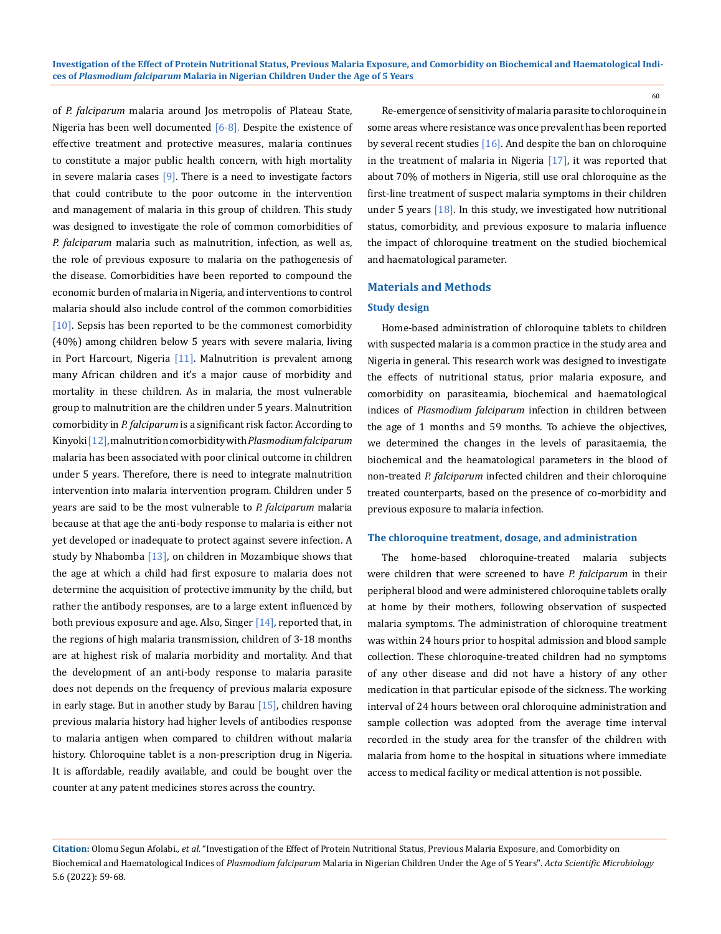of *P. falciparum* malaria around Jos metropolis of Plateau State, Nigeria has been well documented  $[6-8]$ . Despite the existence of effective treatment and protective measures, malaria continues to constitute a major public health concern, with high mortality in severe malaria cases  $[9]$ . There is a need to investigate factors that could contribute to the poor outcome in the intervention and management of malaria in this group of children. This study was designed to investigate the role of common comorbidities of *P. falciparum* malaria such as malnutrition, infection, as well as, the role of previous exposure to malaria on the pathogenesis of the disease. Comorbidities have been reported to compound the economic burden of malaria in Nigeria, and interventions to control malaria should also include control of the common comorbidities [10]. Sepsis has been reported to be the commonest comorbidity (40%) among children below 5 years with severe malaria, living in Port Harcourt, Nigeria  $[11]$ . Malnutrition is prevalent among many African children and it's a major cause of morbidity and mortality in these children. As in malaria, the most vulnerable group to malnutrition are the children under 5 years. Malnutrition comorbidity in *P. falciparum* is a significant risk factor. According to Kinyoki [12], malnutrition comorbidity with *Plasmodium falciparum* malaria has been associated with poor clinical outcome in children under 5 years. Therefore, there is need to integrate malnutrition intervention into malaria intervention program. Children under 5 years are said to be the most vulnerable to *P. falciparum* malaria because at that age the anti-body response to malaria is either not yet developed or inadequate to protect against severe infection. A study by Nhabomba  $[13]$ , on children in Mozambique shows that the age at which a child had first exposure to malaria does not determine the acquisition of protective immunity by the child, but rather the antibody responses, are to a large extent influenced by both previous exposure and age. Also, Singer [14], reported that, in the regions of high malaria transmission, children of 3-18 months are at highest risk of malaria morbidity and mortality. And that the development of an anti-body response to malaria parasite does not depends on the frequency of previous malaria exposure in early stage. But in another study by Barau  $[15]$ , children having previous malaria history had higher levels of antibodies response to malaria antigen when compared to children without malaria history. Chloroquine tablet is a non-prescription drug in Nigeria. It is affordable, readily available, and could be bought over the counter at any patent medicines stores across the country.

Re-emergence of sensitivity of malaria parasite to chloroquine in some areas where resistance was once prevalent has been reported by several recent studies [16]. And despite the ban on chloroquine in the treatment of malaria in Nigeria [17], it was reported that about 70% of mothers in Nigeria, still use oral chloroquine as the first-line treatment of suspect malaria symptoms in their children under 5 years  $[18]$ . In this study, we investigated how nutritional status, comorbidity, and previous exposure to malaria influence the impact of chloroquine treatment on the studied biochemical and haematological parameter.

### **Materials and Methods**

### **Study design**

Home-based administration of chloroquine tablets to children with suspected malaria is a common practice in the study area and Nigeria in general. This research work was designed to investigate the effects of nutritional status, prior malaria exposure, and comorbidity on parasiteamia, biochemical and haematological indices of *Plasmodium falciparum* infection in children between the age of 1 months and 59 months. To achieve the objectives, we determined the changes in the levels of parasitaemia, the biochemical and the heamatological parameters in the blood of non-treated *P. falciparum* infected children and their chloroquine treated counterparts, based on the presence of co-morbidity and previous exposure to malaria infection.

### **The chloroquine treatment, dosage, and administration**

The home-based chloroquine-treated malaria subjects were children that were screened to have *P. falciparum* in their peripheral blood and were administered chloroquine tablets orally at home by their mothers, following observation of suspected malaria symptoms. The administration of chloroquine treatment was within 24 hours prior to hospital admission and blood sample collection. These chloroquine-treated children had no symptoms of any other disease and did not have a history of any other medication in that particular episode of the sickness. The working interval of 24 hours between oral chloroquine administration and sample collection was adopted from the average time interval recorded in the study area for the transfer of the children with malaria from home to the hospital in situations where immediate access to medical facility or medical attention is not possible.

**Citation:** Olomu Segun Afolabi*., et al.* "Investigation of the Effect of Protein Nutritional Status, Previous Malaria Exposure, and Comorbidity on Biochemical and Haematological Indices of *Plasmodium falciparum* Malaria in Nigerian Children Under the Age of 5 Years". *Acta Scientific Microbiology*  5.6 (2022): 59-68.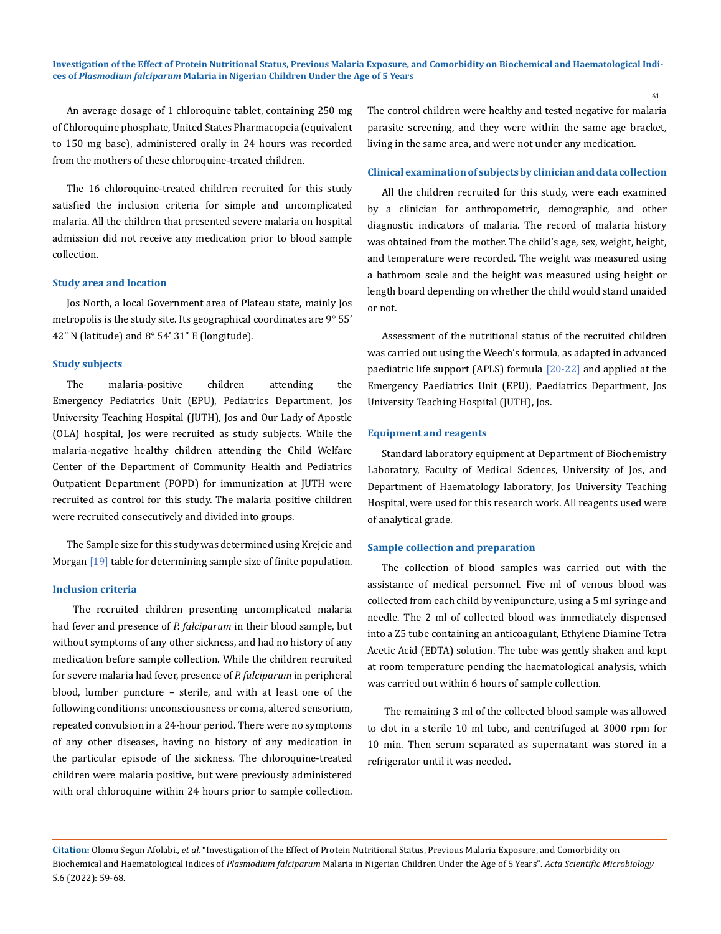An average dosage of 1 chloroquine tablet, containing 250 mg of Chloroquine phosphate, United States Pharmacopeia (equivalent to 150 mg base), administered orally in 24 hours was recorded from the mothers of these chloroquine-treated children.

The 16 chloroquine-treated children recruited for this study satisfied the inclusion criteria for simple and uncomplicated malaria. All the children that presented severe malaria on hospital admission did not receive any medication prior to blood sample collection.

#### **Study area and location**

Jos North, a local Government area of Plateau state, mainly Jos metropolis is the study site. Its geographical coordinates are 9° 55' 42" N (latitude) and 8° 54' 31" E (longitude).

### **Study subjects**

The malaria-positive children attending the Emergency Pediatrics Unit (EPU), Pediatrics Department, Jos University Teaching Hospital (JUTH), Jos and Our Lady of Apostle (OLA) hospital, Jos were recruited as study subjects. While the malaria-negative healthy children attending the Child Welfare Center of the Department of Community Health and Pediatrics Outpatient Department (POPD) for immunization at JUTH were recruited as control for this study. The malaria positive children were recruited consecutively and divided into groups.

The Sample size for this study was determined using Krejcie and Morgan [19] table for determining sample size of finite population.

### **Inclusion criteria**

 The recruited children presenting uncomplicated malaria had fever and presence of *P. falciparum* in their blood sample, but without symptoms of any other sickness, and had no history of any medication before sample collection. While the children recruited for severe malaria had fever, presence of *P. falciparum* in peripheral blood, lumber puncture – sterile, and with at least one of the following conditions: unconsciousness or coma, altered sensorium, repeated convulsion in a 24-hour period. There were no symptoms of any other diseases, having no history of any medication in the particular episode of the sickness. The chloroquine-treated children were malaria positive, but were previously administered with oral chloroquine within 24 hours prior to sample collection.

The control children were healthy and tested negative for malaria parasite screening, and they were within the same age bracket, living in the same area, and were not under any medication.

### **Clinical examination of subjects by clinician and data collection**

All the children recruited for this study, were each examined by a clinician for anthropometric, demographic, and other diagnostic indicators of malaria. The record of malaria history was obtained from the mother. The child's age, sex, weight, height, and temperature were recorded. The weight was measured using a bathroom scale and the height was measured using height or length board depending on whether the child would stand unaided or not.

Assessment of the nutritional status of the recruited children was carried out using the Weech's formula, as adapted in advanced paediatric life support (APLS) formula [20-22] and applied at the Emergency Paediatrics Unit (EPU), Paediatrics Department, Jos University Teaching Hospital (JUTH), Jos.

### **Equipment and reagents**

Standard laboratory equipment at Department of Biochemistry Laboratory, Faculty of Medical Sciences, University of Jos, and Department of Haematology laboratory, Jos University Teaching Hospital, were used for this research work. All reagents used were of analytical grade.

#### **Sample collection and preparation**

The collection of blood samples was carried out with the assistance of medical personnel. Five ml of venous blood was collected from each child by venipuncture, using a 5 ml syringe and needle. The 2 ml of collected blood was immediately dispensed into a Z5 tube containing an anticoagulant, Ethylene Diamine Tetra Acetic Acid (EDTA) solution. The tube was gently shaken and kept at room temperature pending the haematological analysis, which was carried out within 6 hours of sample collection.

 The remaining 3 ml of the collected blood sample was allowed to clot in a sterile 10 ml tube, and centrifuged at 3000 rpm for 10 min. Then serum separated as supernatant was stored in a refrigerator until it was needed.

**Citation:** Olomu Segun Afolabi*., et al.* "Investigation of the Effect of Protein Nutritional Status, Previous Malaria Exposure, and Comorbidity on Biochemical and Haematological Indices of *Plasmodium falciparum* Malaria in Nigerian Children Under the Age of 5 Years". *Acta Scientific Microbiology*  5.6 (2022): 59-68.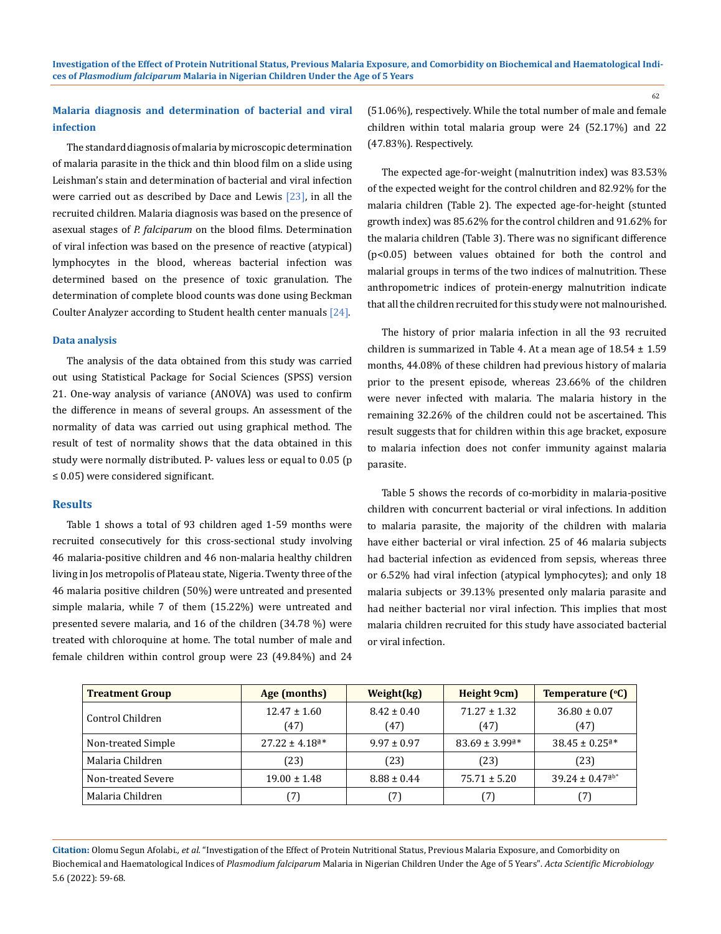### **Malaria diagnosis and determination of bacterial and viral infection**

The standard diagnosis of malaria by microscopic determination of malaria parasite in the thick and thin blood film on a slide using Leishman's stain and determination of bacterial and viral infection were carried out as described by Dace and Lewis  $[23]$ , in all the recruited children. Malaria diagnosis was based on the presence of asexual stages of *P. falciparum* on the blood films. Determination of viral infection was based on the presence of reactive (atypical) lymphocytes in the blood, whereas bacterial infection was determined based on the presence of toxic granulation. The determination of complete blood counts was done using Beckman Coulter Analyzer according to Student health center manuals [24].

### **Data analysis**

The analysis of the data obtained from this study was carried out using Statistical Package for Social Sciences (SPSS) version 21. One-way analysis of variance (ANOVA) was used to confirm the difference in means of several groups. An assessment of the normality of data was carried out using graphical method. The result of test of normality shows that the data obtained in this study were normally distributed. P- values less or equal to 0.05 (p ≤ 0.05) were considered significant.

### **Results**

Table 1 shows a total of 93 children aged 1-59 months were recruited consecutively for this cross-sectional study involving 46 malaria-positive children and 46 non-malaria healthy children living in Jos metropolis of Plateau state, Nigeria. Twenty three of the 46 malaria positive children (50%) were untreated and presented simple malaria, while 7 of them (15.22%) were untreated and presented severe malaria, and 16 of the children (34.78 %) were treated with chloroquine at home. The total number of male and female children within control group were 23 (49.84%) and 24 (51.06%), respectively. While the total number of male and female children within total malaria group were 24 (52.17%) and 22 (47.83%). Respectively.

The expected age-for-weight (malnutrition index) was 83.53% of the expected weight for the control children and 82.92% for the malaria children (Table 2). The expected age-for-height (stunted growth index) was 85.62% for the control children and 91.62% for the malaria children (Table 3). There was no significant difference (p<0.05) between values obtained for both the control and malarial groups in terms of the two indices of malnutrition. These anthropometric indices of protein-energy malnutrition indicate that all the children recruited for this study were not malnourished.

The history of prior malaria infection in all the 93 recruited children is summarized in Table 4. At a mean age of  $18.54 \pm 1.59$ months, 44.08% of these children had previous history of malaria prior to the present episode, whereas 23.66% of the children were never infected with malaria. The malaria history in the remaining 32.26% of the children could not be ascertained. This result suggests that for children within this age bracket, exposure to malaria infection does not confer immunity against malaria parasite.

Table 5 shows the records of co-morbidity in malaria-positive children with concurrent bacterial or viral infections. In addition to malaria parasite, the majority of the children with malaria have either bacterial or viral infection. 25 of 46 malaria subjects had bacterial infection as evidenced from sepsis, whereas three or 6.52% had viral infection (atypical lymphocytes); and only 18 malaria subjects or 39.13% presented only malaria parasite and had neither bacterial nor viral infection. This implies that most malaria children recruited for this study have associated bacterial or viral infection.

| <b>Treatment Group</b> | Age (months)                   | Weight(kg)              | Height 9cm)                    | Temperature (°C)               |
|------------------------|--------------------------------|-------------------------|--------------------------------|--------------------------------|
| Control Children       | $12.47 \pm 1.60$<br>(47)       | $8.42 \pm 0.40$<br>(47) | $71.27 \pm 1.32$<br>(47)       | $36.80 \pm 0.07$<br>(47)       |
| Non-treated Simple     | $27.22 \pm 4.18$ <sup>a*</sup> | $9.97 \pm 0.97$         | $83.69 \pm 3.99$ <sup>a*</sup> | $38.45 \pm 0.25$ <sup>a*</sup> |
| Malaria Children       | (23)                           | (23)                    | (23)                           | (23)                           |
| Non-treated Severe     | $19.00 \pm 1.48$               | $8.88 \pm 0.44$         | $75.71 \pm 5.20$               | $39.24 \pm 0.47^{\text{ab}}$   |
| Malaria Children       | 7                              | (7)                     | [7]                            |                                |

**Citation:** Olomu Segun Afolabi*., et al.* "Investigation of the Effect of Protein Nutritional Status, Previous Malaria Exposure, and Comorbidity on Biochemical and Haematological Indices of *Plasmodium falciparum* Malaria in Nigerian Children Under the Age of 5 Years". *Acta Scientific Microbiology*  5.6 (2022): 59-68.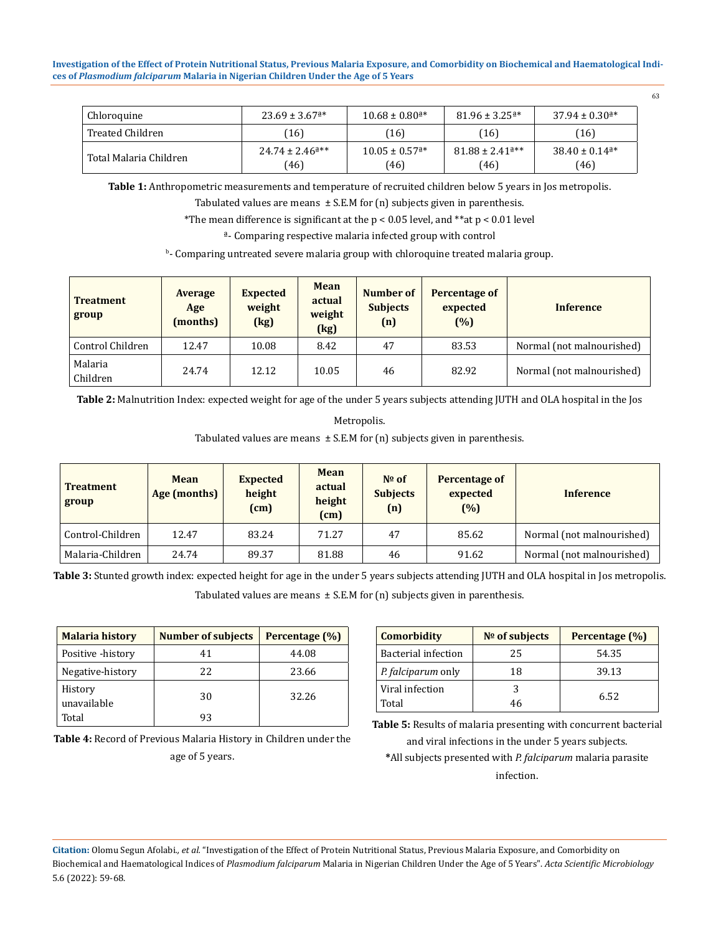| Chloroquine            | $23.69 \pm 3.67$ <sup>a*</sup>        | $10.68 \pm 0.80$ <sup>a*</sup>         | $81.96 \pm 3.25$ <sup>a*</sup>          | $37.94 \pm 0.30$ <sup>a*</sup>         |
|------------------------|---------------------------------------|----------------------------------------|-----------------------------------------|----------------------------------------|
| Treated Children       | 16                                    | (16)                                   | (16)                                    | (16)                                   |
| Total Malaria Children | $24.74 \pm 2.46^{\text{a}**}$<br>(46) | $10.05 \pm 0.57$ <sup>a*</sup><br>(46) | $81.88 \pm 2.41$ <sup>4**</sup><br>(46) | $38.40 \pm 0.14$ <sup>a*</sup><br>(46) |

**Table 1:** Anthropometric measurements and temperature of recruited children below 5 years in Jos metropolis.

Tabulated values are means  $\pm$  S.E.M for (n) subjects given in parenthesis.

\*The mean difference is significant at the  $p < 0.05$  level, and \*\*at  $p < 0.01$  level

ª- Comparing respective malaria infected group with control

b - Comparing untreated severe malaria group with chloroquine treated malaria group.

| <b>Treatment</b><br>group | Average<br>Age<br>(months) | <b>Expected</b><br>weight<br>(kg) | <b>Mean</b><br>actual<br>weight<br>(kg) | Number of<br><b>Subjects</b><br>(n) | <b>Percentage of</b><br>expected<br>(%) | <b>Inference</b>          |
|---------------------------|----------------------------|-----------------------------------|-----------------------------------------|-------------------------------------|-----------------------------------------|---------------------------|
| Control Children          | 12.47                      | 10.08                             | 8.42                                    | 47                                  | 83.53                                   | Normal (not malnourished) |
| Malaria<br>Children       | 24.74                      | 12.12                             | 10.05                                   | 46                                  | 82.92                                   | Normal (not malnourished) |

**Table 2:** Malnutrition Index: expected weight for age of the under 5 years subjects attending JUTH and OLA hospital in the Jos

Metropolis.

Tabulated values are means  $\pm$  S.E.M for (n) subjects given in parenthesis.

| <b>Treatment</b><br>group | Mean<br>Age (months) | <b>Expected</b><br>height<br>(cm) | <b>Mean</b><br>actual<br>height<br>(cm) | $No$ of<br><b>Subjects</b><br>(n) | Percentage of<br>expected<br>(%) | <b>Inference</b>          |
|---------------------------|----------------------|-----------------------------------|-----------------------------------------|-----------------------------------|----------------------------------|---------------------------|
| Control-Children          | 12.47                | 83.24                             | 71.27                                   | 47                                | 85.62                            | Normal (not malnourished) |
| Malaria-Children          | 24.74                | 89.37                             | 81.88                                   | 46                                | 91.62                            | Normal (not malnourished) |

**Table 3:** Stunted growth index: expected height for age in the under 5 years subjects attending JUTH and OLA hospital in Jos metropolis.

Tabulated values are means  $\pm$  S.E.M for (n) subjects given in parenthesis.

| <b>Malaria history</b> | <b>Number of subjects</b> | Percentage (%) |
|------------------------|---------------------------|----------------|
| Positive -history      | 41                        | 44.08          |
| Negative-history       | 22                        | 23.66          |
| History<br>unavailable | 30                        | 32.26          |
| Total                  | 93                        |                |

**Table 4:** Record of Previous Malaria History in Children under the age of 5 years.

| <b>Comorbidity</b>         | $No$ of subjects | Percentage (%) |
|----------------------------|------------------|----------------|
| <b>Bacterial infection</b> | 25               | 54.35          |
| P. falciparum only         | 18               | 39.13          |
| Viral infection            |                  | 6.52           |
| Total                      | 46               |                |

**Table 5:** Results of malaria presenting with concurrent bacterial and viral infections in the under 5 years subjects.

**\***All subjects presented with *P. falciparum* malaria parasite infection.

**Citation:** Olomu Segun Afolabi*., et al.* "Investigation of the Effect of Protein Nutritional Status, Previous Malaria Exposure, and Comorbidity on Biochemical and Haematological Indices of *Plasmodium falciparum* Malaria in Nigerian Children Under the Age of 5 Years". *Acta Scientific Microbiology*  5.6 (2022): 59-68.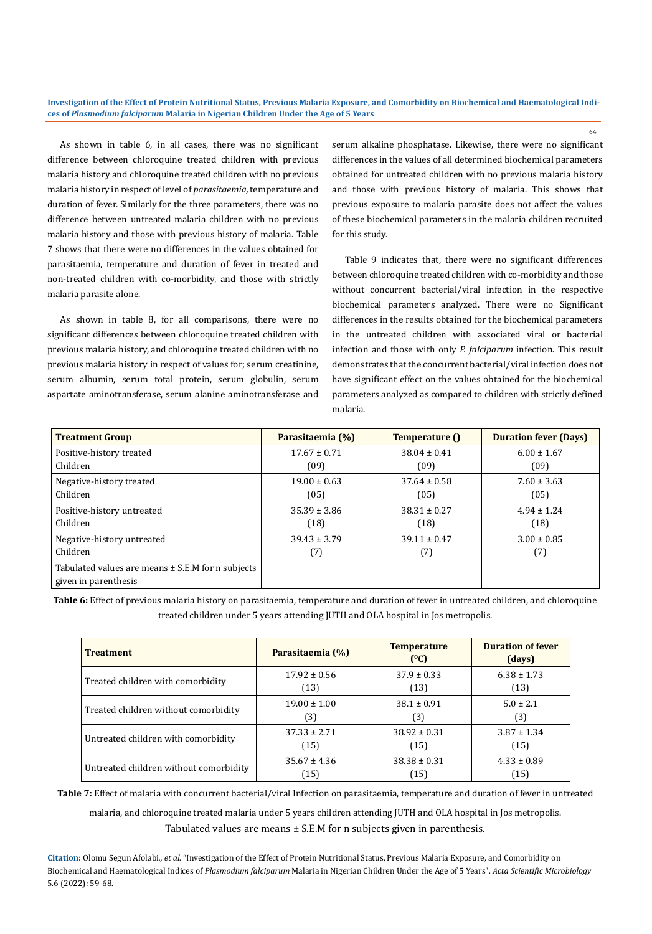As shown in table 6, in all cases, there was no significant difference between chloroquine treated children with previous malaria history and chloroquine treated children with no previous malaria history in respect of level of *parasitaemia,* temperature and duration of fever. Similarly for the three parameters, there was no difference between untreated malaria children with no previous malaria history and those with previous history of malaria. Table 7 shows that there were no differences in the values obtained for parasitaemia, temperature and duration of fever in treated and non-treated children with co-morbidity, and those with strictly malaria parasite alone.

As shown in table 8, for all comparisons, there were no significant differences between chloroquine treated children with previous malaria history, and chloroquine treated children with no previous malaria history in respect of values for; serum creatinine, serum albumin, serum total protein, serum globulin, serum aspartate aminotransferase, serum alanine aminotransferase and serum alkaline phosphatase. Likewise, there were no significant differences in the values of all determined biochemical parameters obtained for untreated children with no previous malaria history and those with previous history of malaria. This shows that previous exposure to malaria parasite does not affect the values of these biochemical parameters in the malaria children recruited for this study.

64

Table 9 indicates that, there were no significant differences between chloroquine treated children with co-morbidity and those without concurrent bacterial/viral infection in the respective biochemical parameters analyzed. There were no Significant differences in the results obtained for the biochemical parameters in the untreated children with associated viral or bacterial infection and those with only *P. falciparum* infection. This result demonstrates that the concurrent bacterial/viral infection does not have significant effect on the values obtained for the biochemical parameters analyzed as compared to children with strictly defined malaria.

| <b>Treatment Group</b>                                | Parasitaemia (%) | Temperature ()   | <b>Duration fever (Days)</b> |
|-------------------------------------------------------|------------------|------------------|------------------------------|
| Positive-history treated                              | $17.67 \pm 0.71$ | $38.04 \pm 0.41$ | $6.00 \pm 1.67$              |
| Children                                              | (09)             | (09)             | (09)                         |
| Negative-history treated                              | $19.00 \pm 0.63$ | $37.64 \pm 0.58$ | $7.60 \pm 3.63$              |
| Children                                              | (05)             | (05)             | (05)                         |
| Positive-history untreated                            | $35.39 \pm 3.86$ | $38.31 \pm 0.27$ | $4.94 \pm 1.24$              |
| Children                                              | (18)             | (18)             | (18)                         |
| Negative-history untreated                            | $39.43 \pm 3.79$ | $39.11 \pm 0.47$ | $3.00 \pm 0.85$              |
| Children                                              | (7)              | (7)              | (7)                          |
| Tabulated values are means $\pm$ S.E.M for n subjects |                  |                  |                              |
| given in parenthesis                                  |                  |                  |                              |

**Table 6:** Effect of previous malaria history on parasitaemia, temperature and duration of fever in untreated children, and chloroquine treated children under 5 years attending JUTH and OLA hospital in Jos metropolis.

| <b>Treatment</b>                       | Parasitaemia (%) | <b>Temperature</b><br>(°C) | <b>Duration of fever</b><br>(days) |
|----------------------------------------|------------------|----------------------------|------------------------------------|
| Treated children with comorbidity      | $17.92 \pm 0.56$ | $37.9 \pm 0.33$            | $6.38 \pm 1.73$                    |
|                                        | (13)             | (13)                       | (13)                               |
| Treated children without comorbidity   | $19.00 \pm 1.00$ | $38.1 \pm 0.91$            | $5.0 \pm 2.1$                      |
|                                        | (3)              | (3)                        | (3)                                |
| Untreated children with comorbidity    | $37.33 \pm 2.71$ | $38.92 \pm 0.31$           | $3.87 \pm 1.34$                    |
|                                        | (15)             | (15)                       | (15)                               |
| Untreated children without comorbidity | $35.67 \pm 4.36$ | $38.38 \pm 0.31$           | $4.33 \pm 0.89$                    |
|                                        | (15)             | (15)                       | (15)                               |

**Table 7:** Effect of malaria with concurrent bacterial/viral Infection on parasitaemia, temperature and duration of fever in untreated

malaria, and chloroquine treated malaria under 5 years children attending JUTH and OLA hospital in Jos metropolis.

Tabulated values are means  $\pm$  S.E.M for n subjects given in parenthesis.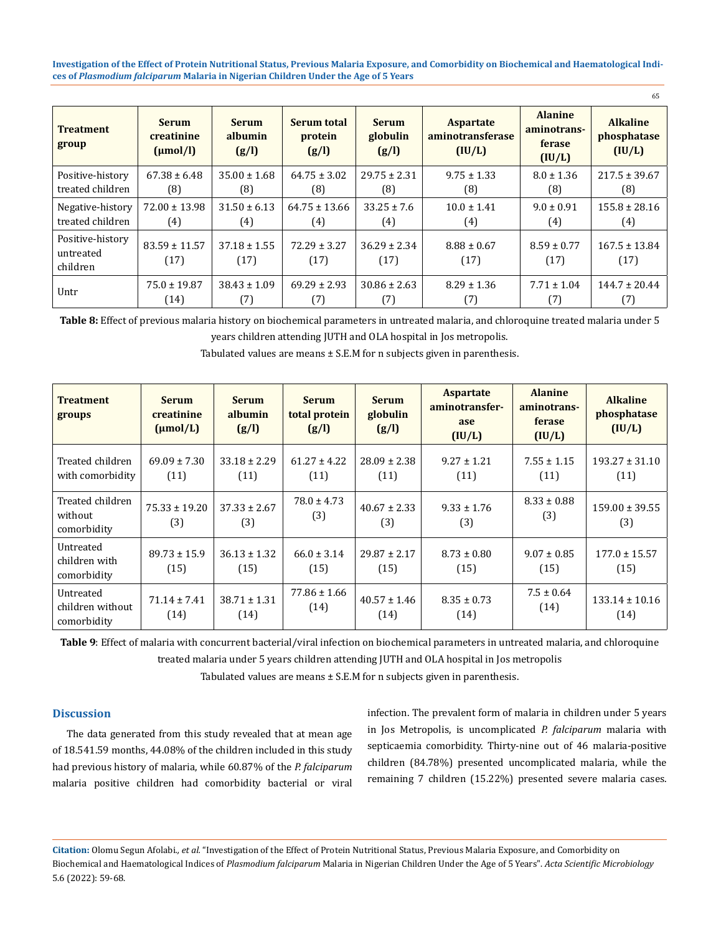| <b>Treatment</b><br>group                 | <b>Serum</b><br>creatinine<br>(numol/l) | <b>Serum</b><br>albumin<br>(g/l) | Serum total<br>protein<br>(g/l) | <b>Serum</b><br>globulin<br>(g/l) | <b>Aspartate</b><br><i>aminotransferase</i><br>(IU/L) | <b>Alanine</b><br>aminotrans-<br>ferase<br>(IU/L) | <b>Alkaline</b><br>phosphatase<br>(IU/L) |
|-------------------------------------------|-----------------------------------------|----------------------------------|---------------------------------|-----------------------------------|-------------------------------------------------------|---------------------------------------------------|------------------------------------------|
| Positive-history                          | $67.38 \pm 6.48$                        | $35.00 \pm 1.68$                 | $64.75 \pm 3.02$                | $29.75 \pm 2.31$                  | $9.75 \pm 1.33$                                       | $8.0 \pm 1.36$                                    | $217.5 \pm 39.67$                        |
| treated children                          | (8)                                     | (8)                              | (8)                             | (8)                               | (8)                                                   | (8)                                               | (8)                                      |
| Negative-history                          | $72.00 \pm 13.98$                       | $31.50 \pm 6.13$                 | $64.75 \pm 13.66$               | $33.25 \pm 7.6$                   | $10.0 \pm 1.41$                                       | $9.0 \pm 0.91$                                    | $155.8 \pm 28.16$                        |
| treated children                          | (4)                                     | (4)                              | (4)                             | (4)                               | (4)                                                   | (4)                                               | (4)                                      |
| Positive-history<br>untreated<br>children | $83.59 \pm 11.57$<br>(17)               | $37.18 \pm 1.55$<br>(17)         | $72.29 \pm 3.27$<br>(17)        | $36.29 \pm 2.34$<br>(17)          | $8.88 \pm 0.67$<br>(17)                               | $8.59 \pm 0.77$<br>(17)                           | $167.5 \pm 13.84$<br>(17)                |
| Untr                                      | $75.0 \pm 19.87$                        | $38.43 \pm 1.09$                 | $69.29 \pm 2.93$                | $30.86 \pm 2.63$                  | $8.29 \pm 1.36$                                       | $7.71 \pm 1.04$                                   | $144.7 \pm 20.44$                        |
|                                           | (14)                                    | (7)                              | (7)                             | (7)                               | (7)                                                   | (7)                                               | (7)                                      |

**Table 8:** Effect of previous malaria history on biochemical parameters in untreated malaria, and chloroquine treated malaria under 5

years children attending JUTH and OLA hospital in Jos metropolis.

| <b>Treatment</b><br>groups                 | <b>Serum</b><br>creatinine<br>$(\mu mol/L)$ | <b>Serum</b><br>albumin<br>(g/l) | <b>Serum</b><br>total protein<br>(g/l) | <b>Serum</b><br>globulin<br>(g/l) | <b>Aspartate</b><br>aminotransfer-<br>ase<br>(IU/L) | <b>Alanine</b><br>aminotrans-<br>ferase<br>(IU/L) | <b>Alkaline</b><br>phosphatase<br>(IU/L)                |
|--------------------------------------------|---------------------------------------------|----------------------------------|----------------------------------------|-----------------------------------|-----------------------------------------------------|---------------------------------------------------|---------------------------------------------------------|
| Treated children<br>with comorbidity       | $69.09 \pm 7.30$<br>(11)                    | $33.18 \pm 2.29$<br>(11)         | $61.27 \pm 4.22$<br>(11)               | $28.09 \pm 2.38$<br>(11)          | $9.27 \pm 1.21$<br>(11)                             | $7.55 \pm 1.15$<br>(11)                           | $193.27 \pm 31.10$<br>(11)                              |
| Treated children<br>without<br>comorbidity | $75.33 \pm 19.20$<br>(3)                    | $37.33 \pm 2.67$<br>(3)          | $78.0 \pm 4.73$<br>(3)                 | $40.67 \pm 2.33$<br>(3)           | $9.33 \pm 1.76$<br>(3)                              | $8.33 \pm 0.88$<br>(3)                            | $159.00 \pm 39.55$<br>(3)                               |
| Untreated                                  | $\sim$ $\sim$ $\sim$ $\sim$                 | $1.0210 \pm 0.001$               |                                        |                                   | $\sim$ $\sim$ $\sim$ $\sim$ $\sim$                  | $\sim$ $\sim$ $\sim$ $\sim$ $\sim$                | $\rightarrow$ $\rightarrow$ $\rightarrow$ $\rightarrow$ |

 $66.0 \pm 3.14$ (15)

77.86 ± 1.66

Tabulated values are means ± S.E.M for n subjects given in parenthesis.

**Table 9**: Effect of malaria with concurrent bacterial/viral infection on biochemical parameters in untreated malaria, and chloroquine treated malaria under 5 years children attending JUTH and OLA hospital in Jos metropolis

 $(14)$  40.57 ± 1.46

29.87 ± 2.17 (15)

(14)

 $8.73 \pm 0.80$ (15)

 $8.35 \pm 0.73$ (14)

Tabulated values are means ± S.E.M for n subjects given in parenthesis.

### **Discussion**

children with comorbidity

Untreated children without comorbidity

The data generated from this study revealed that at mean age of 18.541.59 months, 44.08% of the children included in this study had previous history of malaria, while 60.87% of the *P. falciparum*  malaria positive children had comorbidity bacterial or viral

89.73 ± 15.9 (15)

71.14 ± 7.41 (14)

36.13 ± 1.32 (15)

38.71 ± 1.31 (14)

> infection. The prevalent form of malaria in children under 5 years in Jos Metropolis, is uncomplicated *P. falciparum* malaria with septicaemia comorbidity. Thirty-nine out of 46 malaria-positive children (84.78%) presented uncomplicated malaria, while the remaining 7 children (15.22%) presented severe malaria cases.

 $9.07 \pm 0.85$ (15)

 $7.5 \pm 0.64$ 

65

177.0 ± 15.57 (15)

(14)

 $(14)$  133.14 ± 10.16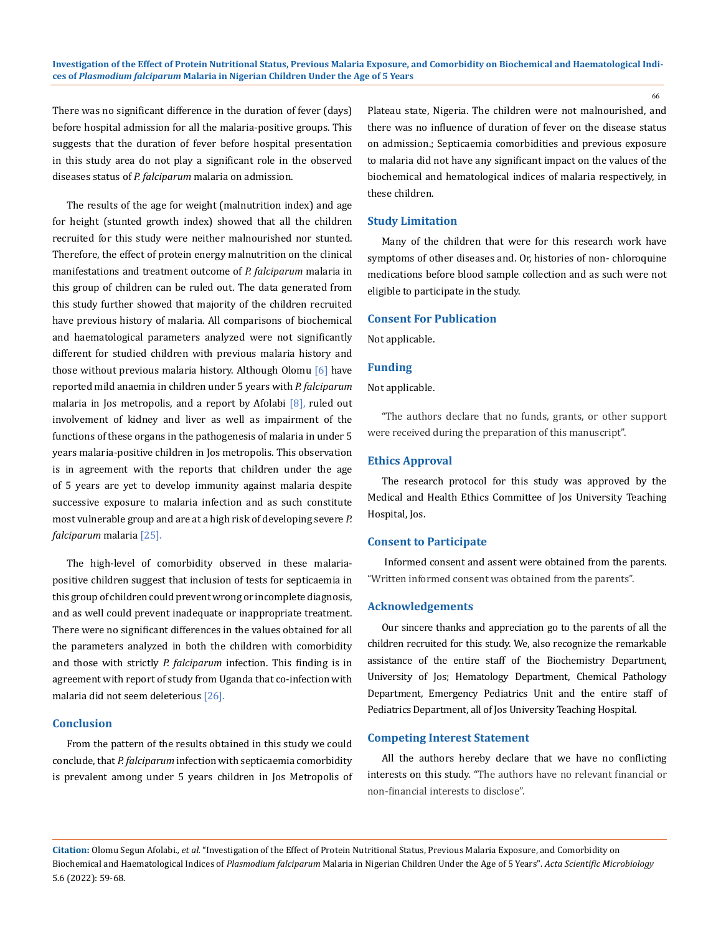There was no significant difference in the duration of fever (days) before hospital admission for all the malaria-positive groups. This suggests that the duration of fever before hospital presentation in this study area do not play a significant role in the observed diseases status of *P. falciparum* malaria on admission.

The results of the age for weight (malnutrition index) and age for height (stunted growth index) showed that all the children recruited for this study were neither malnourished nor stunted. Therefore, the effect of protein energy malnutrition on the clinical manifestations and treatment outcome of *P. falciparum* malaria in this group of children can be ruled out. The data generated from this study further showed that majority of the children recruited have previous history of malaria. All comparisons of biochemical and haematological parameters analyzed were not significantly different for studied children with previous malaria history and those without previous malaria history. Although Olomu [6] have reported mild anaemia in children under 5 years with *P. falciparum* malaria in Jos metropolis, and a report by Afolabi [8], ruled out involvement of kidney and liver as well as impairment of the functions of these organs in the pathogenesis of malaria in under 5 years malaria-positive children in Jos metropolis. This observation is in agreement with the reports that children under the age of 5 years are yet to develop immunity against malaria despite successive exposure to malaria infection and as such constitute most vulnerable group and are at a high risk of developing severe *P. falciparum* malaria [25].

The high-level of comorbidity observed in these malariapositive children suggest that inclusion of tests for septicaemia in this group of children could prevent wrong or incomplete diagnosis, and as well could prevent inadequate or inappropriate treatment. There were no significant differences in the values obtained for all the parameters analyzed in both the children with comorbidity and those with strictly *P. falciparum* infection. This finding is in agreement with report of study from Uganda that co-infection with malaria did not seem deleterious [26].

### **Conclusion**

From the pattern of the results obtained in this study we could conclude, that *P. falciparum* infection with septicaemia comorbidity is prevalent among under 5 years children in Jos Metropolis of Plateau state, Nigeria. The children were not malnourished, and there was no influence of duration of fever on the disease status on admission.; Septicaemia comorbidities and previous exposure to malaria did not have any significant impact on the values of the biochemical and hematological indices of malaria respectively, in these children.

66

### **Study Limitation**

Many of the children that were for this research work have symptoms of other diseases and. Or, histories of non- chloroquine medications before blood sample collection and as such were not eligible to participate in the study.

### **Consent For Publication**

Not applicable.

### **Funding**

### Not applicable.

"The authors declare that no funds, grants, or other support were received during the preparation of this manuscript".

### **Ethics Approval**

The research protocol for this study was approved by the Medical and Health Ethics Committee of Jos University Teaching Hospital, Jos.

### **Consent to Participate**

 Informed consent and assent were obtained from the parents. "Written informed consent was obtained from the parents".

### **Acknowledgements**

Our sincere thanks and appreciation go to the parents of all the children recruited for this study. We, also recognize the remarkable assistance of the entire staff of the Biochemistry Department, University of Jos; Hematology Department, Chemical Pathology Department, Emergency Pediatrics Unit and the entire staff of Pediatrics Department, all of Jos University Teaching Hospital.

### **Competing Interest Statement**

All the authors hereby declare that we have no conflicting interests on this study. "The authors have no relevant financial or non-financial interests to disclose".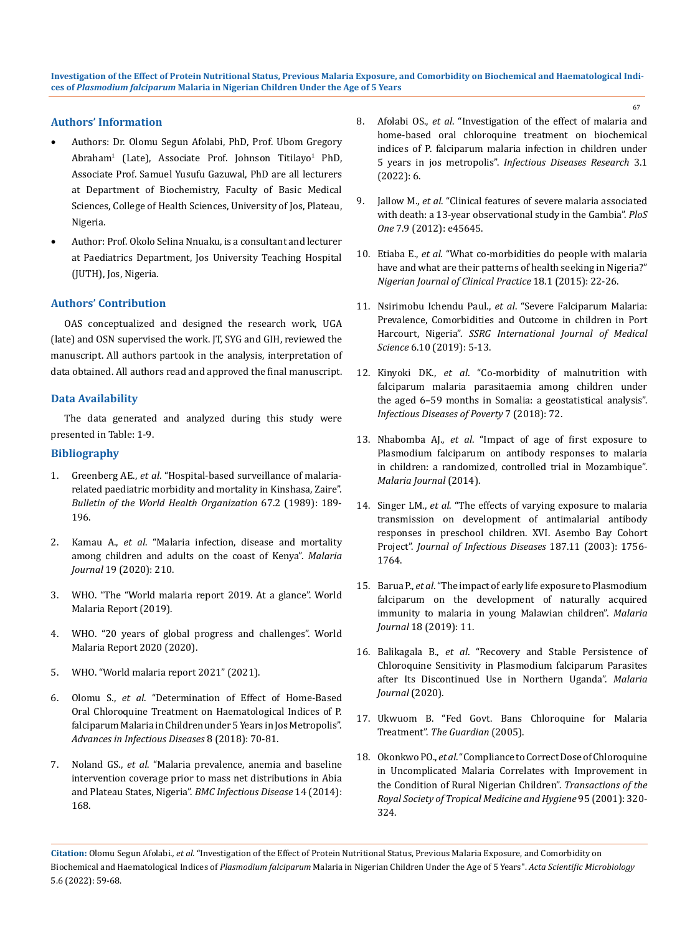### **Authors' Information**

- Authors: Dr. Olomu Segun Afolabi, PhD, Prof. Ubom Gregory Abraham<sup>1</sup> (Late), Associate Prof. Johnson Titilayo<sup>1</sup> PhD, Associate Prof. Samuel Yusufu Gazuwal, PhD are all lecturers at Department of Biochemistry, Faculty of Basic Medical Sciences, College of Health Sciences, University of Jos, Plateau, Nigeria.
- • Author: Prof. Okolo Selina Nnuaku, is a consultant and lecturer at Paediatrics Department, Jos University Teaching Hospital (JUTH), Jos, Nigeria.

### **Authors' Contribution**

OAS conceptualized and designed the research work, UGA (late) and OSN supervised the work. JT, SYG and GIH, reviewed the manuscript. All authors partook in the analysis, interpretation of data obtained. All authors read and approved the final manuscript.

### **Data Availability**

The data generated and analyzed during this study were presented in Table: 1-9.

### **Bibliography**

- 1. Greenberg AE., *et al*[. "Hospital-based surveillance of malaria](https://pubmed.ncbi.nlm.nih.gov/2743538/)[related paediatric morbidity and mortality in Kinshasa, Zaire".](https://pubmed.ncbi.nlm.nih.gov/2743538/)  *[Bulletin of the World Health Organization](https://pubmed.ncbi.nlm.nih.gov/2743538/)* 67.2 (1989): 189- [196.](https://pubmed.ncbi.nlm.nih.gov/2743538/)
- 2. Kamau A., *et al*[. "Malaria infection, disease and mortality](https://doi.org/10.1186/s12936-020-03286-6)  [among children and adults on the coast of Kenya".](https://doi.org/10.1186/s12936-020-03286-6) *Malaria Journal* [19 \(2020\): 210.](https://doi.org/10.1186/s12936-020-03286-6)
- 3. [WHO. "The "World malaria report 2019. At a glance". World](https://www.who.int/news-room/feature-stories/detail/world-malaria-report-2019)  [Malaria Report \(2019\).](https://www.who.int/news-room/feature-stories/detail/world-malaria-report-2019)
- 4. [WHO. "20 years of global progress and challenges". World](https://www.who.int/teams/global-malaria-programme/reports/world-malaria-report-2020)  [Malaria Report 2020 \(2020\).](https://www.who.int/teams/global-malaria-programme/reports/world-malaria-report-2020)
- 5. [WHO. "World malaria report 2021" \(2021\).](https://www.who.int/teams/global-malaria-programme/reports/world-malaria-report-2021)
- 6. Olomu S., *et al*[. "Determination of Effect of Home-Based](https://www.scirp.org/journal/paperinformation.aspx?paperid=85239)  [Oral Chloroquine Treatment on Haematological Indices of P.](https://www.scirp.org/journal/paperinformation.aspx?paperid=85239)  [falciparum Malaria in Children under 5 Years in Jos Metropolis".](https://www.scirp.org/journal/paperinformation.aspx?paperid=85239)  *[Advances in Infectious Diseases](https://www.scirp.org/journal/paperinformation.aspx?paperid=85239)* 8 (2018): 70-81.
- 7. Noland GS., *et al*[. "Malaria prevalence, anemia and baseline](https://bmcinfectdis.biomedcentral.com/articles/10.1186/1471-2334-14-168)  [intervention coverage prior to mass net distributions in Abia](https://bmcinfectdis.biomedcentral.com/articles/10.1186/1471-2334-14-168)  and Plateau States, Nigeria". *BMC Infectious Disease* 14 (2014): [168.](https://bmcinfectdis.biomedcentral.com/articles/10.1186/1471-2334-14-168)
- 8. Afolabi OS., *et al*[. "Investigation of the effect of malaria and](https://www.tmrjournals.com/article.html?J_num=4&a_id=1923)  [home-based oral chloroquine treatment on biochemical](https://www.tmrjournals.com/article.html?J_num=4&a_id=1923)  [indices of P. falciparum malaria infection in children under](https://www.tmrjournals.com/article.html?J_num=4&a_id=1923)  5 years in jos metropolis". *[Infectious Diseases Research](https://www.tmrjournals.com/article.html?J_num=4&a_id=1923)* 3.1 [\(2022\): 6.](https://www.tmrjournals.com/article.html?J_num=4&a_id=1923)
- 9. Jallow M., *et al*[. "Clinical features of severe malaria associated](https://www.ncbi.nlm.nih.gov/pmc/articles/PMC3460946/)  [with death: a 13-year observational study in the Gambia".](https://www.ncbi.nlm.nih.gov/pmc/articles/PMC3460946/) *PloS One* [7.9 \(2012\): e45645.](https://www.ncbi.nlm.nih.gov/pmc/articles/PMC3460946/)
- 10. Etiaba E., *et al*[. "What co-morbidities do people with malaria](https://pubmed.ncbi.nlm.nih.gov/25511339/)  [have and what are their patterns of health seeking in Nigeria?"](https://pubmed.ncbi.nlm.nih.gov/25511339/)  *[Nigerian Journal of Clinical Practice](https://pubmed.ncbi.nlm.nih.gov/25511339/)* 18.1 (2015): 22-26.
- 11. Nsirimobu Ichendu Paul., *et al*[. "Severe Falciparum Malaria:](http://www.internationaljournalssrg.org/IJMS/paper-details?Id=167)  [Prevalence, Comorbidities and Outcome in children in Port](http://www.internationaljournalssrg.org/IJMS/paper-details?Id=167)  Harcourt, Nigeria". *[SSRG International Journal of Medical](http://www.internationaljournalssrg.org/IJMS/paper-details?Id=167)  Science* [6.10 \(2019\): 5-13.](http://www.internationaljournalssrg.org/IJMS/paper-details?Id=167)
- 12. Kinyoki DK., *et al*[. "Co-morbidity of malnutrition with](https://idpjournal.biomedcentral.com/articles/10.1186/s40249-018-0449-9)  [falciparum malaria parasitaemia among children under](https://idpjournal.biomedcentral.com/articles/10.1186/s40249-018-0449-9)  [the aged 6–59 months in Somalia: a geostatistical analysis".](https://idpjournal.biomedcentral.com/articles/10.1186/s40249-018-0449-9)  *[Infectious Diseases of Poverty](https://idpjournal.biomedcentral.com/articles/10.1186/s40249-018-0449-9)* 7 (2018): 72.
- 13. Nhabomba AJ., *et al*[. "Impact of age of first exposure to](https://malariajournal.biomedcentral.com/articles/10.1186/1475-2875-13-121)  [Plasmodium falciparum on antibody responses to malaria](https://malariajournal.biomedcentral.com/articles/10.1186/1475-2875-13-121)  [in children: a randomized, controlled trial in Mozambique".](https://malariajournal.biomedcentral.com/articles/10.1186/1475-2875-13-121)  *[Malaria Journal](https://malariajournal.biomedcentral.com/articles/10.1186/1475-2875-13-121)* (2014).
- 14. Singer LM., *et al*[. "The effects of varying exposure to malaria](https://pubmed.ncbi.nlm.nih.gov/12751033/)  [transmission on development of antimalarial antibody](https://pubmed.ncbi.nlm.nih.gov/12751033/)  [responses in preschool children. XVI. Asembo Bay Cohort](https://pubmed.ncbi.nlm.nih.gov/12751033/)  Project". *[Journal of Infectious Diseases](https://pubmed.ncbi.nlm.nih.gov/12751033/)* 187.11 (2003): 1756- [1764.](https://pubmed.ncbi.nlm.nih.gov/12751033/)
- 15. Barua P., *et al*[. "The impact of early life exposure to Plasmodium](https://malariajournal.biomedcentral.com/articles/10.1186/s12936-019-2647-8)  [falciparum on the development of naturally acquired](https://malariajournal.biomedcentral.com/articles/10.1186/s12936-019-2647-8)  [immunity to malaria in young Malawian children".](https://malariajournal.biomedcentral.com/articles/10.1186/s12936-019-2647-8) *Malaria Journal* [18 \(2019\): 11.](https://malariajournal.biomedcentral.com/articles/10.1186/s12936-019-2647-8)
- 16. Balikagala B., *et al*[. "Recovery and Stable Persistence of](https://malariajournal.biomedcentral.com/articles/10.1186/s12936-020-03157-0)  [Chloroquine Sensitivity in Plasmodium falciparum Parasites](https://malariajournal.biomedcentral.com/articles/10.1186/s12936-020-03157-0)  [after Its Discontinued Use in Northern Uganda".](https://malariajournal.biomedcentral.com/articles/10.1186/s12936-020-03157-0) *Malaria [Journal](https://malariajournal.biomedcentral.com/articles/10.1186/s12936-020-03157-0)* (2020).
- 17. [Ukwuom B. "Fed Govt. Bans Chloroquine for Malaria](https://www.proshareng.com/news/GENERAL/Fed-Govt.-bans-Chloroquine-for-malaria-treatment/24474)  Treatment". *[The Guardian](https://www.proshareng.com/news/GENERAL/Fed-Govt.-bans-Chloroquine-for-malaria-treatment/24474)* (2005).
- 18. Okonkwo PO., *et al*[. "Compliance to Correct Dose of Chloroquine](https://academic.oup.com/trstmh/article-abstract/95/3/320/1905493?redirectedFrom=fulltext)  [in Uncomplicated Malaria Correlates with Improvement in](https://academic.oup.com/trstmh/article-abstract/95/3/320/1905493?redirectedFrom=fulltext)  [the Condition of Rural Nigerian Children".](https://academic.oup.com/trstmh/article-abstract/95/3/320/1905493?redirectedFrom=fulltext) *Transactions of the [Royal Society of Tropical Medicine and Hygiene](https://academic.oup.com/trstmh/article-abstract/95/3/320/1905493?redirectedFrom=fulltext)* 95 (2001): 320- [324.](https://academic.oup.com/trstmh/article-abstract/95/3/320/1905493?redirectedFrom=fulltext)

**Citation:** Olomu Segun Afolabi*., et al.* "Investigation of the Effect of Protein Nutritional Status, Previous Malaria Exposure, and Comorbidity on Biochemical and Haematological Indices of *Plasmodium falciparum* Malaria in Nigerian Children Under the Age of 5 Years". *Acta Scientific Microbiology*  5.6 (2022): 59-68.